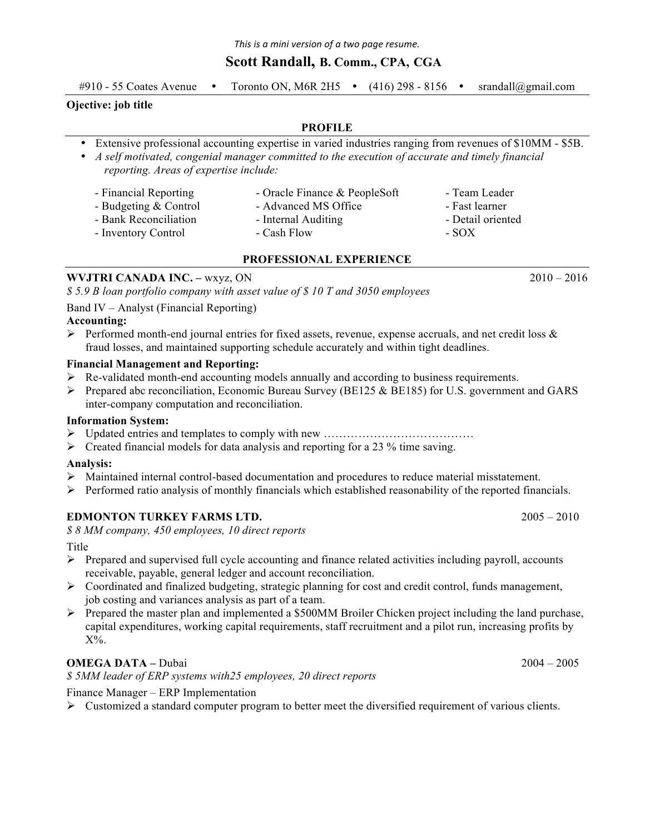## **Scott Randall, B. Comm., CPA, CGA**

#910 - 55 Coates Avenue • Toronto ON, M6R 2H5 • (416) 298 - 8156 • srandall@gmail.com

### **Ojective: job title**

#### **PROFILE**

• Extensive professional accounting expertise in varied industries ranging from revenues of \$10MM - \$5B.

• *A self motivated, congenial manager committed to the execution of accurate and timely financial reporting. Areas of expertise include:*

- 
- Financial Reporting Oracle Finance & PeopleSoft Team Leader
- Budgeting & Control Advanced MS Office Fast learner
- Bank Reconciliation Internal Auditing Detail oriented
- Inventory Control Cash Flow SOX
- -

### **PROFESSIONAL EXPERIENCE**

### **WVJTRI CANADA INC. –** wxyz, ON2010 – 2016

*\$ 5.9 B loan portfolio company with asset value of \$ 10 T and 3050 employees*

#### Band IV – Analyst (Financial Reporting)

#### **Accounting:**

 $\triangleright$  Performed month-end journal entries for fixed assets, revenue, expense accruals, and net credit loss & fraud losses, and maintained supporting schedule accurately and within tight deadlines.

#### **Financial Management and Reporting:**

- $\triangleright$  Re-validated month-end accounting models annually and according to business requirements.
- $\triangleright$  Prepared abc reconciliation, Economic Bureau Survey (BE125 & BE185) for U.S. government and GARS inter-company computation and reconciliation.

#### **Information System:**

- " Updated entries and templates to comply with new …………………………………
- $\triangleright$  Created financial models for data analysis and reporting for a 23 % time saving.

#### **Analysis:**

- $\triangleright$  Maintained internal control-based documentation and procedures to reduce material misstatement.
- $\triangleright$  Performed ratio analysis of monthly financials which established reasonability of the reported financials.

### **EDMONTON TURKEY FARMS LTD.** 2005 – 2010

*\$ 8 MM company, 450 employees, 10 direct reports*

Title **The Communist Communist Communist Communist Communist Communist Communist Communist Communist Communist Communist Communist Communist Communist Communist Communist Communist Communist Communist Communist Communist C** 

- $\triangleright$  Prepared and supervised full cycle accounting and finance related activities including payroll, accounts receivable, payable, general ledger and account reconciliation.
- $\triangleright$  Coordinated and finalized budgeting, strategic planning for cost and credit control, funds management, job costing and variances analysis as part of a team.
- Prepared the master plan and implemented a \$500MM Broiler Chicken project including the land purchase, capital expenditures, working capital requirements, staff recruitment and a pilot run, increasing profits by  $X\%$

## **OMEGA DATA –** Dubai 2004 – 2005

*\$ 5MM leader of ERP systems with25 employees, 20 direct reports* 

Finance Manager – ERP Implementation

 $\triangleright$  Customized a standard computer program to better meet the diversified requirement of various clients.